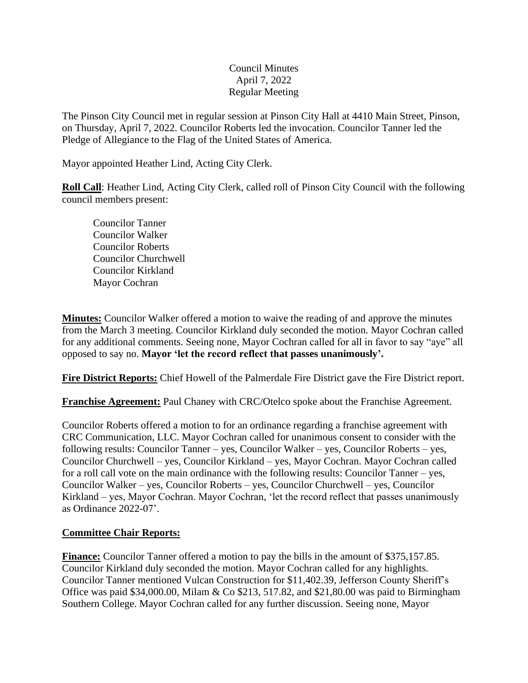## Council Minutes April 7, 2022 Regular Meeting

The Pinson City Council met in regular session at Pinson City Hall at 4410 Main Street, Pinson, on Thursday, April 7, 2022. Councilor Roberts led the invocation. Councilor Tanner led the Pledge of Allegiance to the Flag of the United States of America.

Mayor appointed Heather Lind, Acting City Clerk.

**Roll Call**: Heather Lind, Acting City Clerk, called roll of Pinson City Council with the following council members present:

Councilor Tanner Councilor Walker Councilor Roberts Councilor Churchwell Councilor Kirkland Mayor Cochran

**Minutes:** Councilor Walker offered a motion to waive the reading of and approve the minutes from the March 3 meeting. Councilor Kirkland duly seconded the motion. Mayor Cochran called for any additional comments. Seeing none, Mayor Cochran called for all in favor to say "aye" all opposed to say no. **Mayor 'let the record reflect that passes unanimously'.** 

**Fire District Reports:** Chief Howell of the Palmerdale Fire District gave the Fire District report.

**Franchise Agreement:** Paul Chaney with CRC/Otelco spoke about the Franchise Agreement.

Councilor Roberts offered a motion to for an ordinance regarding a franchise agreement with CRC Communication, LLC. Mayor Cochran called for unanimous consent to consider with the following results: Councilor Tanner – yes, Councilor Walker – yes, Councilor Roberts – yes, Councilor Churchwell – yes, Councilor Kirkland – yes, Mayor Cochran. Mayor Cochran called for a roll call vote on the main ordinance with the following results: Councilor Tanner – yes, Councilor Walker – yes, Councilor Roberts – yes, Councilor Churchwell – yes, Councilor Kirkland – yes, Mayor Cochran. Mayor Cochran, 'let the record reflect that passes unanimously as Ordinance 2022-07'.

## **Committee Chair Reports:**

**Finance:** Councilor Tanner offered a motion to pay the bills in the amount of \$375,157.85. Councilor Kirkland duly seconded the motion. Mayor Cochran called for any highlights. Councilor Tanner mentioned Vulcan Construction for \$11,402.39, Jefferson County Sheriff's Office was paid \$34,000.00, Milam & Co \$213, 517.82, and \$21,80.00 was paid to Birmingham Southern College. Mayor Cochran called for any further discussion. Seeing none, Mayor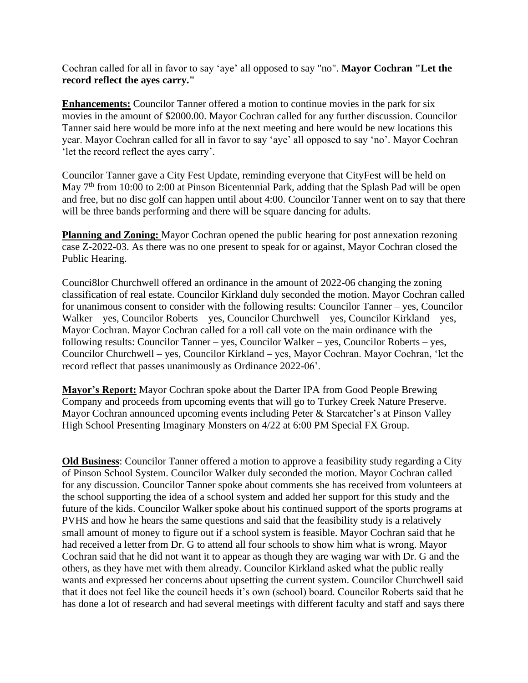Cochran called for all in favor to say 'aye' all opposed to say "no". **Mayor Cochran "Let the record reflect the ayes carry."**

**Enhancements:** Councilor Tanner offered a motion to continue movies in the park for six movies in the amount of \$2000.00. Mayor Cochran called for any further discussion. Councilor Tanner said here would be more info at the next meeting and here would be new locations this year. Mayor Cochran called for all in favor to say 'aye' all opposed to say 'no'. Mayor Cochran 'let the record reflect the ayes carry'.

Councilor Tanner gave a City Fest Update, reminding everyone that CityFest will be held on May 7<sup>th</sup> from 10:00 to 2:00 at Pinson Bicentennial Park, adding that the Splash Pad will be open and free, but no disc golf can happen until about 4:00. Councilor Tanner went on to say that there will be three bands performing and there will be square dancing for adults.

**Planning and Zoning:** Mayor Cochran opened the public hearing for post annexation rezoning case Z-2022-03. As there was no one present to speak for or against, Mayor Cochran closed the Public Hearing.

Counci8lor Churchwell offered an ordinance in the amount of 2022-06 changing the zoning classification of real estate. Councilor Kirkland duly seconded the motion. Mayor Cochran called for unanimous consent to consider with the following results: Councilor Tanner – yes, Councilor Walker – yes, Councilor Roberts – yes, Councilor Churchwell – yes, Councilor Kirkland – yes, Mayor Cochran. Mayor Cochran called for a roll call vote on the main ordinance with the following results: Councilor Tanner – yes, Councilor Walker – yes, Councilor Roberts – yes, Councilor Churchwell – yes, Councilor Kirkland – yes, Mayor Cochran. Mayor Cochran, 'let the record reflect that passes unanimously as Ordinance 2022-06'.

**Mayor's Report:** Mayor Cochran spoke about the Darter IPA from Good People Brewing Company and proceeds from upcoming events that will go to Turkey Creek Nature Preserve. Mayor Cochran announced upcoming events including Peter & Starcatcher's at Pinson Valley High School Presenting Imaginary Monsters on  $4/22$  at 6:00 PM Special FX Group.

**Old Business**: Councilor Tanner offered a motion to approve a feasibility study regarding a City of Pinson School System. Councilor Walker duly seconded the motion. Mayor Cochran called for any discussion. Councilor Tanner spoke about comments she has received from volunteers at the school supporting the idea of a school system and added her support for this study and the future of the kids. Councilor Walker spoke about his continued support of the sports programs at PVHS and how he hears the same questions and said that the feasibility study is a relatively small amount of money to figure out if a school system is feasible. Mayor Cochran said that he had received a letter from Dr. G to attend all four schools to show him what is wrong. Mayor Cochran said that he did not want it to appear as though they are waging war with Dr. G and the others, as they have met with them already. Councilor Kirkland asked what the public really wants and expressed her concerns about upsetting the current system. Councilor Churchwell said that it does not feel like the council heeds it's own (school) board. Councilor Roberts said that he has done a lot of research and had several meetings with different faculty and staff and says there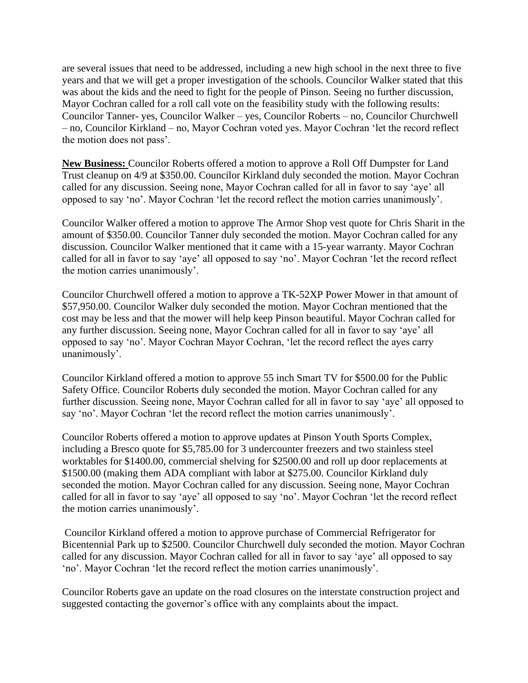are several issues that need to be addressed, including a new high school in the next three to five years and that we will get a proper investigation of the schools. Councilor Walker stated that this was about the kids and the need to fight for the people of Pinson. Seeing no further discussion, Mayor Cochran called for a roll call vote on the feasibility study with the following results: Councilor Tanner- yes, Councilor Walker – yes, Councilor Roberts – no, Councilor Churchwell – no, Councilor Kirkland – no, Mayor Cochran voted yes. Mayor Cochran 'let the record reflect the motion does not pass'.

**New Business:** Councilor Roberts offered a motion to approve a Roll Off Dumpster for Land Trust cleanup on 4/9 at \$350.00. Councilor Kirkland duly seconded the motion. Mayor Cochran called for any discussion. Seeing none, Mayor Cochran called for all in favor to say 'aye' all opposed to say 'no'. Mayor Cochran 'let the record reflect the motion carries unanimously'.

Councilor Walker offered a motion to approve The Armor Shop vest quote for Chris Sharit in the amount of \$350.00. Councilor Tanner duly seconded the motion. Mayor Cochran called for any discussion. Councilor Walker mentioned that it came with a 15-year warranty. Mayor Cochran called for all in favor to say 'aye' all opposed to say 'no'. Mayor Cochran 'let the record reflect the motion carries unanimously'.

Councilor Churchwell offered a motion to approve a TK-52XP Power Mower in that amount of \$57,950.00. Councilor Walker duly seconded the motion. Mayor Cochran mentioned that the cost may be less and that the mower will help keep Pinson beautiful. Mayor Cochran called for any further discussion. Seeing none, Mayor Cochran called for all in favor to say 'aye' all opposed to say 'no'. Mayor Cochran Mayor Cochran, 'let the record reflect the ayes carry unanimously'.

Councilor Kirkland offered a motion to approve 55 inch Smart TV for \$500.00 for the Public Safety Office. Councilor Roberts duly seconded the motion. Mayor Cochran called for any further discussion. Seeing none, Mayor Cochran called for all in favor to say 'aye' all opposed to say 'no'. Mayor Cochran 'let the record reflect the motion carries unanimously'.

Councilor Roberts offered a motion to approve updates at Pinson Youth Sports Complex, including a Bresco quote for \$5,785.00 for 3 undercounter freezers and two stainless steel worktables for \$1400.00, commercial shelving for \$2500.00 and roll up door replacements at \$1500.00 (making them ADA compliant with labor at \$275.00. Councilor Kirkland duly seconded the motion. Mayor Cochran called for any discussion. Seeing none, Mayor Cochran called for all in favor to say 'aye' all opposed to say 'no'. Mayor Cochran 'let the record reflect the motion carries unanimously'.

Councilor Kirkland offered a motion to approve purchase of Commercial Refrigerator for Bicentennial Park up to \$2500. Councilor Churchwell duly seconded the motion. Mayor Cochran called for any discussion. Mayor Cochran called for all in favor to say 'aye' all opposed to say 'no'. Mayor Cochran 'let the record reflect the motion carries unanimously'.

Councilor Roberts gave an update on the road closures on the interstate construction project and suggested contacting the governor's office with any complaints about the impact.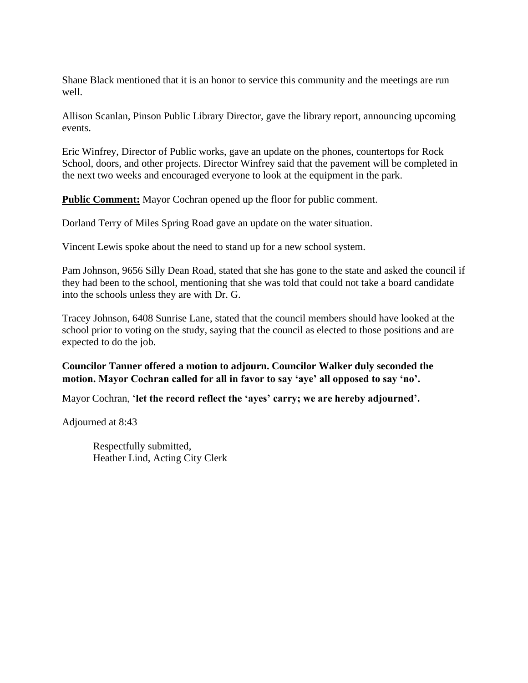Shane Black mentioned that it is an honor to service this community and the meetings are run well.

Allison Scanlan, Pinson Public Library Director, gave the library report, announcing upcoming events.

Eric Winfrey, Director of Public works, gave an update on the phones, countertops for Rock School, doors, and other projects. Director Winfrey said that the pavement will be completed in the next two weeks and encouraged everyone to look at the equipment in the park.

**Public Comment:** Mayor Cochran opened up the floor for public comment.

Dorland Terry of Miles Spring Road gave an update on the water situation.

Vincent Lewis spoke about the need to stand up for a new school system.

Pam Johnson, 9656 Silly Dean Road, stated that she has gone to the state and asked the council if they had been to the school, mentioning that she was told that could not take a board candidate into the schools unless they are with Dr. G.

Tracey Johnson, 6408 Sunrise Lane, stated that the council members should have looked at the school prior to voting on the study, saying that the council as elected to those positions and are expected to do the job.

**Councilor Tanner offered a motion to adjourn. Councilor Walker duly seconded the motion. Mayor Cochran called for all in favor to say 'aye' all opposed to say 'no'.** 

Mayor Cochran, '**let the record reflect the 'ayes' carry; we are hereby adjourned'.**

Adjourned at 8:43

Respectfully submitted, Heather Lind, Acting City Clerk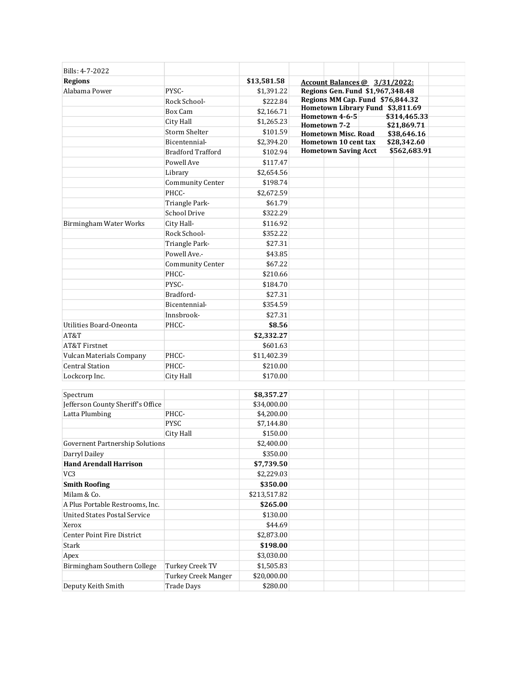| Bills: 4-7-2022                        |                          |              |                                                                          |
|----------------------------------------|--------------------------|--------------|--------------------------------------------------------------------------|
| <b>Regions</b>                         |                          | \$13,581.58  | Account Balances @ 3/31/2022:                                            |
| Alabama Power                          | PYSC-                    | \$1,391.22   | Regions Gen. Fund \$1,967,348.48                                         |
|                                        | Rock School-             | \$222.84     | Regions MM Cap. Fund \$76,844.32                                         |
|                                        | Box Cam                  | \$2,166.71   | Hometown Library Fund \$3,811.69                                         |
|                                        | City Hall                | \$1,265.23   | Hometown 4-6-5<br>\$314,465.33                                           |
|                                        | <b>Storm Shelter</b>     | \$101.59     | Hometown 7-2<br>\$21,869.71<br><b>Hometown Misc. Road</b><br>\$38,646.16 |
|                                        | Bicentennial-            | \$2,394.20   | Hometown 10 cent tax<br>\$28,342.60                                      |
|                                        | <b>Bradford Trafford</b> | \$102.94     | <b>Hometown Saving Acct</b><br>\$562,683.91                              |
|                                        | Powell Ave               | \$117.47     |                                                                          |
|                                        | Library                  | \$2,654.56   |                                                                          |
|                                        | <b>Community Center</b>  | \$198.74     |                                                                          |
|                                        | PHCC-                    | \$2,672.59   |                                                                          |
|                                        | Triangle Park-           | \$61.79      |                                                                          |
|                                        | <b>School Drive</b>      | \$322.29     |                                                                          |
| Birmingham Water Works                 | City Hall-               | \$116.92     |                                                                          |
|                                        | Rock School-             | \$352.22     |                                                                          |
|                                        | Triangle Park-           | \$27.31      |                                                                          |
|                                        | Powell Ave.-             | \$43.85      |                                                                          |
|                                        | <b>Community Center</b>  | \$67.22      |                                                                          |
|                                        | PHCC-                    | \$210.66     |                                                                          |
|                                        | PYSC-                    | \$184.70     |                                                                          |
|                                        | Bradford-                | \$27.31      |                                                                          |
|                                        | Bicentennial-            | \$354.59     |                                                                          |
|                                        | Innsbrook-               | \$27.31      |                                                                          |
| Utilities Board-Oneonta                | PHCC-                    | \$8.56       |                                                                          |
| AT&T                                   |                          | \$2,332.27   |                                                                          |
| <b>AT&amp;T Firstnet</b>               |                          | \$601.63     |                                                                          |
| Vulcan Materials Company               | PHCC-                    | \$11,402.39  |                                                                          |
| <b>Central Station</b>                 | PHCC-                    | \$210.00     |                                                                          |
| Lockcorp Inc.                          | City Hall                | \$170.00     |                                                                          |
|                                        |                          |              |                                                                          |
| Spectrum                               |                          | \$8,357.27   |                                                                          |
| Jefferson County Sheriff's Office      |                          | \$34,000.00  |                                                                          |
| Latta Plumbing                         | PHCC-                    | \$4,200.00   |                                                                          |
|                                        | <b>PYSC</b>              | \$7,144.80   |                                                                          |
|                                        | City Hall                | \$150.00     |                                                                          |
| <b>Governent Partnership Solutions</b> |                          | \$2,400.00   |                                                                          |
| Darryl Dailey                          |                          | \$350.00     |                                                                          |
| <b>Hand Arendall Harrison</b>          |                          | \$7,739.50   |                                                                          |
| VC <sub>3</sub>                        |                          | \$2,229.03   |                                                                          |
| <b>Smith Roofing</b>                   |                          | \$350.00     |                                                                          |
| Milam & Co.                            |                          | \$213,517.82 |                                                                          |
| A Plus Portable Restrooms, Inc.        |                          | \$265.00     |                                                                          |
| <b>United States Postal Service</b>    |                          | \$130.00     |                                                                          |
| Xerox                                  |                          | \$44.69      |                                                                          |
| Center Point Fire District             |                          | \$2,873.00   |                                                                          |
| Stark                                  |                          | \$198.00     |                                                                          |
| Apex                                   |                          | \$3,030.00   |                                                                          |
| Birmingham Southern College            | Turkey Creek TV          | \$1,505.83   |                                                                          |
|                                        | Turkey Creek Manger      | \$20,000.00  |                                                                          |
| Deputy Keith Smith                     | <b>Trade Days</b>        | \$280.00     |                                                                          |